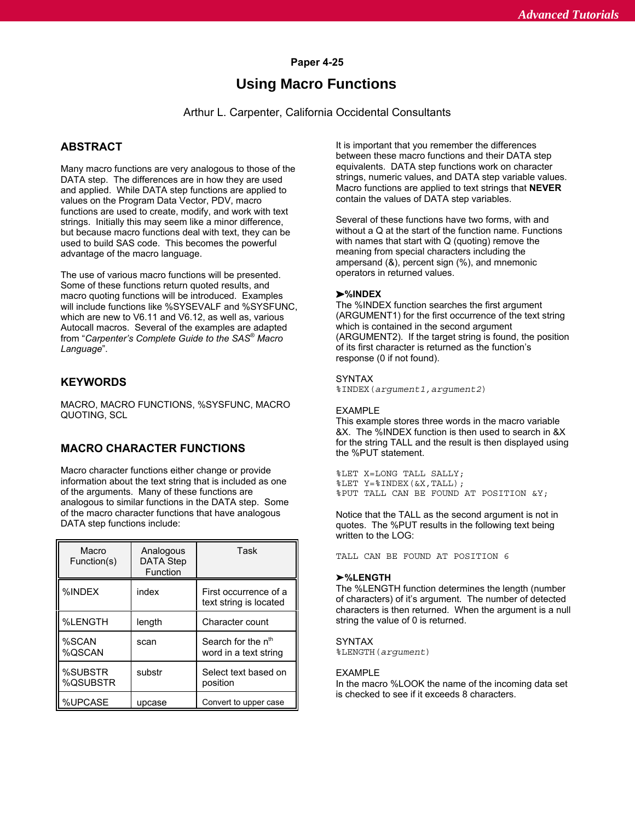## **Paper 4-25**

# **Using Macro Functions**

Arthur L. Carpenter, California Occidental Consultants

## **ABSTRACT**

Many macro functions are very analogous to those of the DATA step. The differences are in how they are used and applied. While DATA step functions are applied to values on the Program Data Vector, PDV, macro functions are used to create, modify, and work with text strings. Initially this may seem like a minor difference, but because macro functions deal with text, they can be used to build SAS code. This becomes the powerful advantage of the macro language.

The use of various macro functions will be presented. Some of these functions return quoted results, and macro quoting functions will be introduced. Examples will include functions like %SYSEVALF and %SYSFUNC, which are new to V6.11 and V6.12, as well as, various Autocall macros. Several of the examples are adapted from "Carpenter's Complete Guide to the SAS<sup>®</sup> Macro *Language*".

## **KEYWORDS**

MACRO, MACRO FUNCTIONS, %SYSFUNC, MACRO QUOTING, SCL

## **MACRO CHARACTER FUNCTIONS**

Macro character functions either change or provide information about the text string that is included as one of the arguments. Many of these functions are analogous to similar functions in the DATA step. Some of the macro character functions that have analogous DATA step functions include:

| Macro<br>Function(s) | Analogous<br><b>DATA Step</b><br>Function | Task                                                    |
|----------------------|-------------------------------------------|---------------------------------------------------------|
| %INDEX               | index                                     | First occurrence of a<br>text string is located         |
| %LENGTH              | length                                    | Character count                                         |
| %SCAN<br>%OSCAN      | scan                                      | Search for the n <sup>th</sup><br>word in a text string |
| %SUBSTR<br>%QSUBSTR  | substr                                    | Select text based on<br>position                        |
| %UPCASE              | upcase                                    | Convert to upper case                                   |

It is important that you remember the differences between these macro functions and their DATA step equivalents. DATA step functions work on character strings, numeric values, and DATA step variable values. Macro functions are applied to text strings that **NEVER** contain the values of DATA step variables.

Several of these functions have two forms, with and without a Q at the start of the function name. Functions with names that start with Q (quoting) remove the meaning from special characters including the ampersand (&), percent sign (%), and mnemonic operators in returned values.

#### **%INDEX**

The %INDEX function searches the first argument (ARGUMENT1) for the first occurrence of the text string which is contained in the second argument (ARGUMENT2). If the target string is found, the position of its first character is returned as the function's response (0 if not found).

#### SYNTAX

%INDEX(*argument1,argument2*)

#### EXAMPLE

This example stores three words in the macro variable &X. The %INDEX function is then used to search in &X for the string TALL and the result is then displayed using the %PUT statement.

%LET X=LONG TALL SALLY; %LET Y=%INDEX(&X,TALL); %PUT TALL CAN BE FOUND AT POSITION &Y;

Notice that the TALL as the second argument is not in quotes. The %PUT results in the following text being written to the LOG:

TALL CAN BE FOUND AT POSITION 6

#### **%LENGTH**

The %LENGTH function determines the length (number of characters) of it's argument. The number of detected characters is then returned. When the argument is a null string the value of 0 is returned.

#### **SYNTAX**

%LENGTH(*argument*)

#### **FXAMPLE**

In the macro %LOOK the name of the incoming data set is checked to see if it exceeds 8 characters.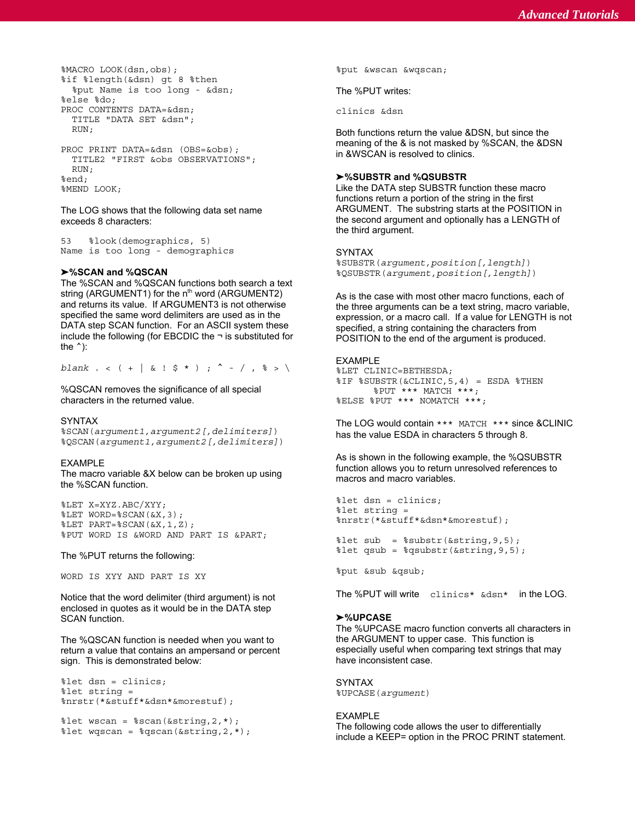```
%MACRO LOOK(dsn,obs); %put &wscan &wqscan;
%if %length(&dsn) gt 8 %then
 %put Name is too long - &dsn;
%else %do;
PROC CONTENTS DATA=&dsn;
 TITLE "DATA SET &dsn";
 RIJN:
PROC PRINT DATA=&dsn (OBS=&obs);
 TITLE2 "FIRST &obs OBSERVATIONS";
 RIM.
%end;
```
%MEND LOOK;

The LOG shows that the following data set name exceeds 8 characters:

53 %look(demographics, 5) Name is too long - demographics

### **%SCAN and %QSCAN**

The %SCAN and %QSCAN functions both search a text string (ARGUMENT1) for the  $n<sup>th</sup>$  word (ARGUMENT2) and returns its value. If ARGUMENT3 is not otherwise specified the same word delimiters are used as in the DATA step SCAN function. For an ASCII system these include the following (for EBCDIC the  $\neg$  is substituted for the  $\hat{}$ ):

*blank* . < ( + | & !  $$$  \* ) ; ^ - / ,  $$$  > \

%QSCAN removes the significance of all special characters in the returned value.

#### SYNTAX

%SCAN(*argument1,argument2[,delimiters]*) %QSCAN(*argument1,argument2[,delimiters]*)

#### EXAMPLE

The macro variable &X below can be broken up using the %SCAN function.

```
%LET X=XYZ.ABC/XYY;
%LET WORD=%SCAN(&X,3);
%LET PART=%SCAN(&X,1,Z);
%PUT WORD IS &WORD AND PART IS ∂
```
The %PUT returns the following:

WORD IS XYY AND PART IS XY

Notice that the word delimiter (third argument) is not enclosed in quotes as it would be in the DATA step SCAN function.

The %QSCAN function is needed when you want to return a value that contains an ampersand or percent sign. This is demonstrated below:

```
%let dsn = clinics;
%let string =
%nrstr(*&stuff*&dsn*&morestuf);
```

```
let wscan = sscan(&string,2,*);
let wgscan = %qscan(&string, 2, *);
```
The %PUT writes:

clinics &dsn

Both functions return the value &DSN, but since the meaning of the & is not masked by %SCAN, the &DSN in &WSCAN is resolved to clinics.

### **%SUBSTR and %QSUBSTR**

Like the DATA step SUBSTR function these macro functions return a portion of the string in the first ARGUMENT. The substring starts at the POSITION in the second argument and optionally has a LENGTH of the third argument.

#### SYNTAX

%SUBSTR(*argument,position[,length]*) %QSUBSTR(*argument,position[,length]*)

As is the case with most other macro functions, each of the three arguments can be a text string, macro variable, expression, or a macro call. If a value for LENGTH is not specified, a string containing the characters from POSITION to the end of the argument is produced.

### EXAMPLE

%LET CLINIC=BETHESDA; %IF %SUBSTR(&CLINIC,5,4) = ESDA %THEN %PUT \*\*\* MATCH \*\*\*; %ELSE %PUT \*\*\* NOMATCH \*\*\*;

The LOG would contain \*\*\* MATCH \*\*\* since &CLINIC has the value ESDA in characters 5 through 8.

As is shown in the following example, the %QSUBSTR function allows you to return unresolved references to macros and macro variables.

```
%let dsn = clinics;
%let string =
%nrstr(*&stuff*&dsn*&morestuf);
```
%let sub = %substr(&string,9,5);  $let$  qsub =  $sqrt{q}$ substr(&string, 9, 5);

%put &sub &qsub;

The %PUT will write clinics\* &dsn\* in the LOG.

#### **%UPCASE**

The %UPCASE macro function converts all characters in the ARGUMENT to upper case. This function is especially useful when comparing text strings that may have inconsistent case.

SYNTAX %UPCASE(*argument*)

#### EXAMPLE

The following code allows the user to differentially include a KEEP= option in the PROC PRINT statement.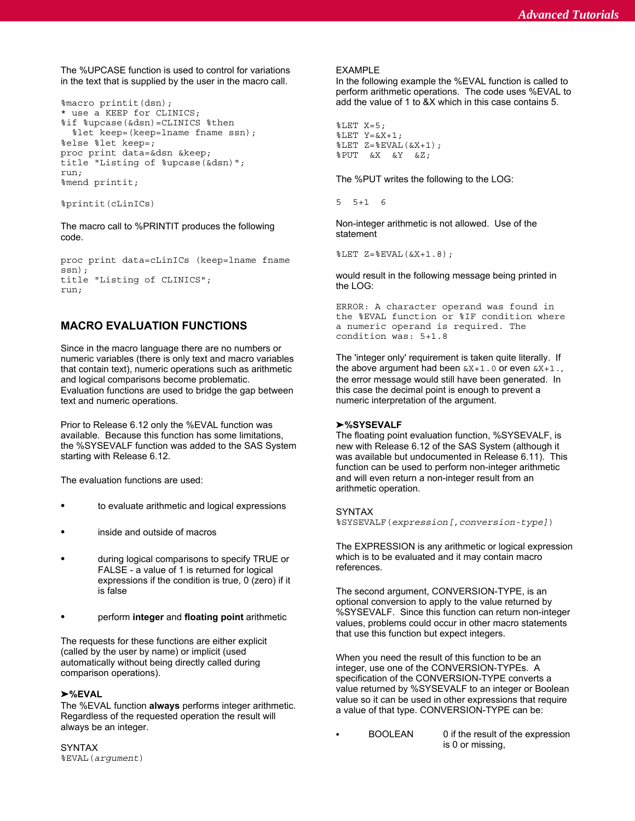The %UPCASE function is used to control for variations EXAMPLE

```
%macro printit(dsn);
* use a KEEP for CLINICS;
%if %upcase(&dsn)=CLINICS %then
  %let keep=(keep=lname fname ssn);
%else %let keep=;
proc print data=&dsn &keep;
title "Listing of %upcase(&dsn)";
run;
%mend printit;
```

```
%printit(cLinICs)
```
The macro call to %PRINTIT produces the following code.

```
proc print data=cLinICs (keep=lname fname
ssn);
title "Listing of CLINICS";
run;
```
## **MACRO EVALUATION FUNCTIONS**

Since in the macro language there are no numbers or numeric variables (there is only text and macro variables that contain text), numeric operations such as arithmetic and logical comparisons become problematic. Evaluation functions are used to bridge the gap between text and numeric operations.

Prior to Release 6.12 only the %EVAL function was **>%SYSEVALF** available. Because this function has some limitations, the %SYSEVALF function was added to the SAS System starting with Release 6.12.

The evaluation functions are used:

- to evaluate arithmetic and logical expressions
- inside and outside of macros
- during logical comparisons to specify TRUE or FALSE - a value of 1 is returned for logical expressions if the condition is true, 0 (zero) if it is false
- perform **integer** and **floating point** arithmetic

The requests for these functions are either explicit (called by the user by name) or implicit (used automatically without being directly called during comparison operations).

#### **%EVAL**

The %EVAL function **always** performs integer arithmetic. Regardless of the requested operation the result will always be an integer.

in the text that is supplied by the user in the macro call. In the following example the %EVAL function is called to perform arithmetic operations. The code uses %EVAL to add the value of 1 to &X which in this case contains 5.

```
%LET X=5;
\SLET Y=&X+1;
\SLET Z=\SEVAL(SX+1);
%PUT &X &Y &Z;
```
The %PUT writes the following to the LOG:

5 5+1 6

Non-integer arithmetic is not allowed. Use of the statement

%LET Z=%EVAL(&X+1.8);

would result in the following message being printed in the LOG:

ERROR: A character operand was found in the %EVAL function or %IF condition where a numeric operand is required. The condition was: 5+1.8

The 'integer only' requirement is taken quite literally. If the above argument had been  $\&X+1.0$  or even  $\&X+1.$ the error message would still have been generated. In this case the decimal point is enough to prevent a numeric interpretation of the argument.

The floating point evaluation function, %SYSEVALF, is new with Release 6.12 of the SAS System (although it was available but undocumented in Release 6.11). This function can be used to perform non-integer arithmetic and will even return a non-integer result from an arithmetic operation.

SYNTAX

%SYSEVALF(*expression[,conversion-type]*)

The EXPRESSION is any arithmetic or logical expression which is to be evaluated and it may contain macro references.

The second argument, CONVERSION-TYPE, is an optional conversion to apply to the value returned by %SYSEVALF. Since this function can return non-integer values, problems could occur in other macro statements that use this function but expect integers.

When you need the result of this function to be an integer, use one of the CONVERSION-TYPEs. A specification of the CONVERSION-TYPE converts a value returned by %SYSEVALF to an integer or Boolean value so it can be used in other expressions that require a value of that type. CONVERSION-TYPE can be:

 BOOLEAN 0 if the result of the expression is 0 or missing,

SYNTAX %EVAL(*argument*)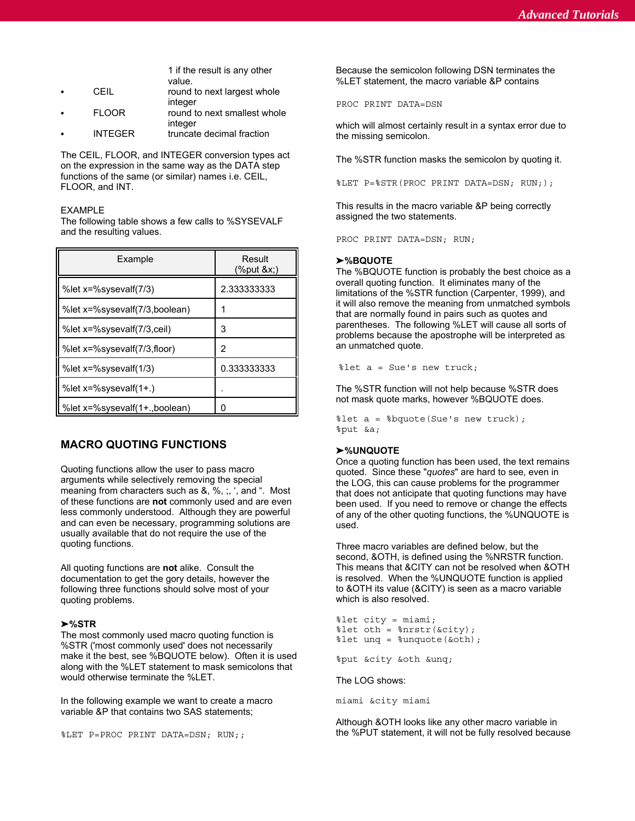CEIL round to next largest whole integer FLOOR round to next smallest whole integer

INTEGER truncate decimal fraction

The CEIL, FLOOR, and INTEGER conversion types act on the expression in the same way as the DATA step functions of the same (or similar) names i.e. CEIL, FLOOR, and INT.

#### EXAMPLE

The following table shows a few calls to %SYSEVALF and the resulting values.

| Example                       | Result<br>$%$ put &x) |
|-------------------------------|-----------------------|
| %let x=%sysevalf(7/3)         | 2.333333333           |
| %let x=%sysevalf(7/3,boolean) |                       |
| %let x=%sysevalf(7/3,ceil)    | 3                     |
| %let x=%sysevalf(7/3,floor)   | 2                     |
| %let x=%sysevalf(1/3)         | 0.333333333           |
| %let x=%sysevalf(1+.)         |                       |
| %let x=%sysevalf(1+.,boolean) |                       |

## **MACRO QUOTING FUNCTIONS**

Quoting functions allow the user to pass macro arguments while selectively removing the special meaning from characters such as &, %, ;, ', and ". Most of these functions are **not** commonly used and are even less commonly understood. Although they are powerful and can even be necessary, programming solutions are usually available that do not require the use of the quoting functions.

All quoting functions are **not** alike. Consult the documentation to get the gory details, however the following three functions should solve most of your quoting problems.

### **%STR**

The most commonly used macro quoting function is %STR ('most commonly used' does not necessarily make it the best, see %BQUOTE below). Often it is used along with the %LET statement to mask semicolons that would otherwise terminate the %LET.

In the following example we want to create a macro variable &P that contains two SAS statements;

%LET P=PROC PRINT DATA=DSN; RUN;;

1 if the result is any other Because the semicolon following DSN terminates the value. %LET statement, the macro variable &P contains

PROC PRINT DATA=DSN

which will almost certainly result in a syntax error due to the missing semicolon.

The %STR function masks the semicolon by quoting it.

%LET P=%STR(PROC PRINT DATA=DSN; RUN;);

This results in the macro variable &P being correctly assigned the two statements.

PROC PRINT DATA=DSN; RUN;

#### **%BQUOTE**

The %BQUOTE function is probably the best choice as a overall quoting function. It eliminates many of the limitations of the %STR function (Carpenter, 1999), and it will also remove the meaning from unmatched symbols that are normally found in pairs such as quotes and parentheses. The following %LET will cause all sorts of problems because the apostrophe will be interpreted as an unmatched quote.

%let a = Sue's new truck;

The %STR function will not help because %STR does not mask quote marks, however %BQUOTE does.

%let a = %bquote(Sue's new truck); %put &a;

#### **%UNQUOTE**

Once a quoting function has been used, the text remains quoted. Since these "*quotes*" are hard to see, even in the LOG, this can cause problems for the programmer that does not anticipate that quoting functions may have been used. If you need to remove or change the effects of any of the other quoting functions, the %UNQUOTE is used.

Three macro variables are defined below, but the second, &OTH, is defined using the %NRSTR function. This means that &CITY can not be resolved when &OTH is resolved. When the %UNQUOTE function is applied to &OTH its value (&CITY) is seen as a macro variable which is also resolved.

```
%let city = miami;
let oth = snrstr(\&city);
%let unq = %unquote(&oth);
```
%put &city &oth &unq;

The LOG shows:

miami &city miami

Although &OTH looks like any other macro variable in the %PUT statement, it will not be fully resolved because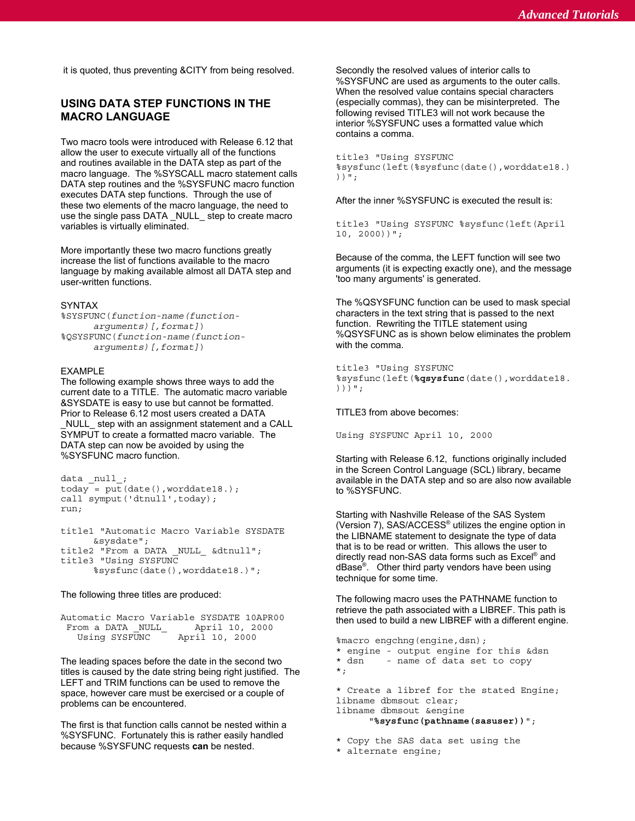*Advanced Tutorials Advanced Tutorials*

it is quoted, thus preventing &CITY from being resolved. Secondly the resolved values of interior calls to

## **USING DATA STEP FUNCTIONS IN THE MACRO LANGUAGE**

Two macro tools were introduced with Release 6.12 that allow the user to execute virtually all of the functions and routines available in the DATA step as part of the macro language. The %SYSCALL macro statement calls DATA step routines and the %SYSFUNC macro function executes DATA step functions. Through the use of these two elements of the macro language, the need to use the single pass DATA NULL step to create macro variables is virtually eliminated.

More importantly these two macro functions greatly increase the list of functions available to the macro language by making available almost all DATA step and user-written functions.

#### SYNTAX

```
%SYSFUNC(function-name(function-
     arguments)[,format])
%QSYSFUNC(function-name(function-
     arguments)[,format])
```
#### EXAMPLE

The following example shows three ways to add the current date to a TITLE. The automatic macro variable &SYSDATE is easy to use but cannot be formatted. Prior to Release 6.12 most users created a DATA

\_NULL\_ step with an assignment statement and a CALL SYMPUT to create a formatted macro variable. The DATA step can now be avoided by using the %SYSFUNC macro function.

```
data _null_;
today = put(data(),worddate18.);call symput('dtnull', today);
run;
```
title1 "Automatic Macro Variable SYSDATE &sysdate"; title2 "From a DATA NULL &dtnull"; title3 "Using SYSFUNC %sysfunc(date(),worddate18.)";

The following three titles are produced:

Automatic Macro Variable SYSDATE 10APR00 From a DATA \_NULL\_ April 10, 2000 April 10, 2000

The leading spaces before the date in the second two titles is caused by the date string being right justified. The LEFT and TRIM functions can be used to remove the space, however care must be exercised or a couple of problems can be encountered.

The first is that function calls cannot be nested within a %SYSFUNC. Fortunately this is rather easily handled because %SYSFUNC requests **can** be nested.

%SYSFUNC are used as arguments to the outer calls. When the resolved value contains special characters (especially commas), they can be misinterpreted. The following revised TITLE3 will not work because the interior %SYSFUNC uses a formatted value which contains a comma.

```
title3 "Using SYSFUNC
%sysfunc(left(%sysfunc(date(),worddate18.)
))";
```
After the inner %SYSFUNC is executed the result is:

title3 "Using SYSFUNC %sysfunc(left(April 10, 2000))";

Because of the comma, the LEFT function will see two arguments (it is expecting exactly one), and the message 'too many arguments' is generated.

The %QSYSFUNC function can be used to mask special characters in the text string that is passed to the next function. Rewriting the TITLE statement using %QSYSFUNC as is shown below eliminates the problem with the comma.

```
title3 "Using SYSFUNC
%sysfunc(left(%qsysfunc(date(),worddate18.
)))";
```
TITLE3 from above becomes:

Using SYSFUNC April 10, 2000

Starting with Release 6.12, functions originally included in the Screen Control Language (SCL) library, became available in the DATA step and so are also now available to %SYSFUNC.

Starting with Nashville Release of the SAS System (Version 7), SAS/ACCESS<sup>®</sup> utilizes the engine option in the LIBNAME statement to designate the type of data that is to be read or written. This allows the user to directly read non-SAS data forms such as  $\text{Excel}^{\textcircled{\tiny{\textregistered}} }$  and  $dBase<sup>®</sup>$ . Other third party vendors have been using technique for some time.

The following macro uses the PATHNAME function to retrieve the path associated with a LIBREF. This path is then used to build a new LIBREF with a different engine.

%macro engchng(engine,dsn); \* engine - output engine for this &dsn \* dsn - name of data set to copy \*; \* Create a libref for the stated Engine; libname dbmsout clear;

libname dbmsout &engine

"**%sysfunc(pathname(sasuser))**";

\* Copy the SAS data set using the

\* alternate engine;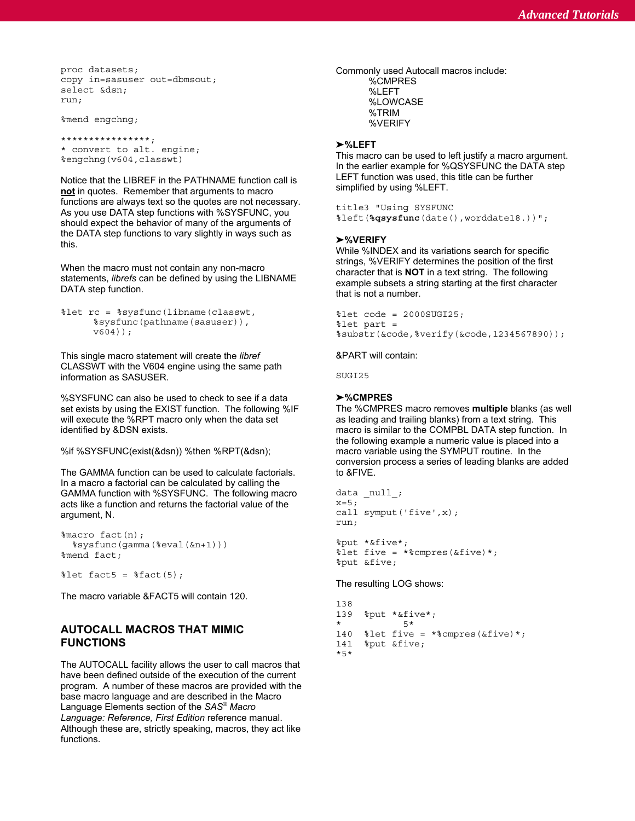```
proc datasets;
copy in=sasuser out=dbmsout;
select &dsn;
run;
```
%mend engchng;

```
****************;
* convert to alt. engine;
%engchng(v604,classwt)
```
Notice that the LIBREF in the PATHNAME function call is **not** in quotes. Remember that arguments to macro functions are always text so the quotes are not necessary. As you use DATA step functions with %SYSFUNC, you should expect the behavior of many of the arguments of the DATA step functions to vary slightly in ways such as this.

When the macro must not contain any non-macro statements, *librefs* can be defined by using the LIBNAME DATA step function.

```
%let rc = %sysfunc(libname(classwt,
     %sysfunc(pathname(sasuser)),
     v604) );
```
This single macro statement will create the *libref* CLASSWT with the V604 engine using the same path information as SASUSER.

%SYSFUNC can also be used to check to see if a data set exists by using the EXIST function. The following %IF will execute the %RPT macro only when the data set as leading and trailing blanks) from a text string. This identified by &DSN exists.

The GAMMA function can be used to calculate factorials. to &FIVE. In a macro a factorial can be calculated by calling the GAMMA function with %SYSFUNC. The following macro acts like a function and returns the factorial value of the argument, N.

```
%macro fact(n);
 %sysfunc(gamma(%eval(&n+1)))
%mend fact;
```

```
% let fact5 = % ffact(5);
```
The macro variable &FACT5 will contain 120.

## **AUTOCALL MACROS THAT MIMIC FUNCTIONS**

The AUTOCALL facility allows the user to call macros that have been defined outside of the execution of the current program. A number of these macros are provided with the base macro language and are described in the Macro Language Elements section of the SAS<sup>®</sup> Macro *Language: Reference, First Edition* reference manual. Although these are, strictly speaking, macros, they act like functions.

Commonly used Autocall macros include: %CMPRES %LEFT %LOWCASE %TRIM %VERIFY

#### **%LEFT**

This macro can be used to left justify a macro argument. In the earlier example for %QSYSFUNC the DATA step LEFT function was used, this title can be further simplified by using %LEFT.

#### title3 "Using SYSFUNC

%left(**%qsysfunc**(date(),worddate18.))";

#### **%VERIFY**

While %INDEX and its variations search for specific strings, %VERIFY determines the position of the first character that is **NOT** in a text string. The following example subsets a string starting at the first character that is not a number.

%let code = 2000SUGI25; %let part = %substr(&code,%verify(&code,1234567890));

&PART will contain:

SUGI25

### **%CMPRES**

macro is similar to the COMPBL DATA step function. In %if %SYSFUNC(exist(&dsn)) %then %RPT(&dsn); macro variable using the SYMPUT routine. In the The %CMPRES macro removes **multiple** blanks (as well the following example a numeric value is placed into a conversion process a series of leading blanks are added

```
data _null_;
x=5;call symput('five', x);
run;
%put *&five*;
%let five = *%cmpres(&five)*;
```
%put &five;

The resulting LOG shows:

```
138<br>139
      139 %put *&five*;
              * 5*
140 % let five = *% cmpres(&five)*;
141 %put &five;
*5*
```